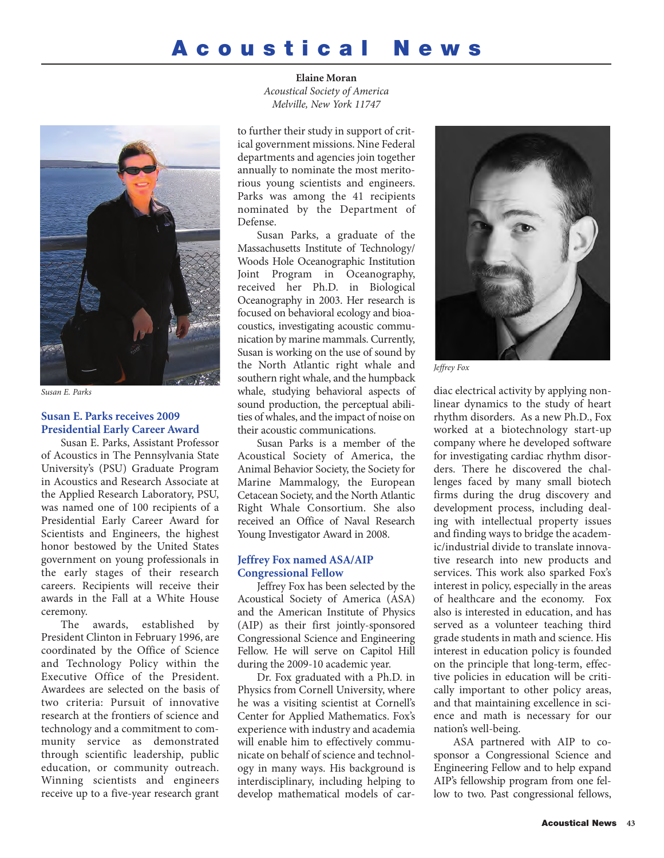# **Acoustical News**



*Susan E. Parks*

# **Susan E. Parks receives 2009 Presidential Early Career Award**

Susan E. Parks, Assistant Professor of Acoustics in The Pennsylvania State University's (PSU) Graduate Program in Acoustics and Research Associate at the Applied Research Laboratory, PSU, was named one of 100 recipients of a Presidential Early Career Award for Scientists and Engineers, the highest honor bestowed by the United States government on young professionals in the early stages of their research careers. Recipients will receive their awards in the Fall at a White House ceremony.

The awards, established by President Clinton in February 1996, are coordinated by the Office of Science and Technology Policy within the Executive Office of the President. Awardees are selected on the basis of two criteria: Pursuit of innovative research at the frontiers of science and technology and a commitment to community service as demonstrated through scientific leadership, public education, or community outreach. Winning scientists and engineers receive up to a five-year research grant

**Elaine Moran** *Acoustical Society of America Melville, New York 11747*

to further their study in support of critical government missions. Nine Federal departments and agencies join together annually to nominate the most meritorious young scientists and engineers. Parks was among the 41 recipients nominated by the Department of Defense.

Susan Parks, a graduate of the Massachusetts Institute of Technology/ Woods Hole Oceanographic Institution Joint Program in Oceanography, received her Ph.D. in Biological Oceanography in 2003. Her research is focused on behavioral ecology and bioacoustics, investigating acoustic communication by marine mammals. Currently, Susan is working on the use of sound by the North Atlantic right whale and southern right whale, and the humpback whale, studying behavioral aspects of sound production, the perceptual abilities of whales, and the impact of noise on their acoustic communications.

Susan Parks is a member of the Acoustical Society of America, the Animal Behavior Society, the Society for Marine Mammalogy, the European Cetacean Society, and the North Atlantic Right Whale Consortium. She also received an Office of Naval Research Young Investigator Award in 2008.

#### **Jeffrey Fox named ASA/AIP Congressional Fellow**

Jeffrey Fox has been selected by the Acoustical Society of America (ASA) and the American Institute of Physics (AIP) as their first jointly-sponsored Congressional Science and Engineering Fellow. He will serve on Capitol Hill during the 2009-10 academic year.

Dr. Fox graduated with a Ph.D. in Physics from Cornell University, where he was a visiting scientist at Cornell's Center for Applied Mathematics. Fox's experience with industry and academia will enable him to effectively communicate on behalf of science and technology in many ways. His background is interdisciplinary, including helping to develop mathematical models of car-



*Jeffrey Fox*

diac electrical activity by applying nonlinear dynamics to the study of heart rhythm disorders. As a new Ph.D., Fox worked at a biotechnology start-up company where he developed software for investigating cardiac rhythm disorders. There he discovered the challenges faced by many small biotech firms during the drug discovery and development process, including dealing with intellectual property issues and finding ways to bridge the academic/industrial divide to translate innovative research into new products and services. This work also sparked Fox's interest in policy, especially in the areas of healthcare and the economy. Fox also is interested in education, and has served as a volunteer teaching third grade students in math and science. His interest in education policy is founded on the principle that long-term, effective policies in education will be critically important to other policy areas, and that maintaining excellence in science and math is necessary for our nation's well-being.

ASA partnered with AIP to cosponsor a Congressional Science and Engineering Fellow and to help expand AIP's fellowship program from one fellow to two. Past congressional fellows,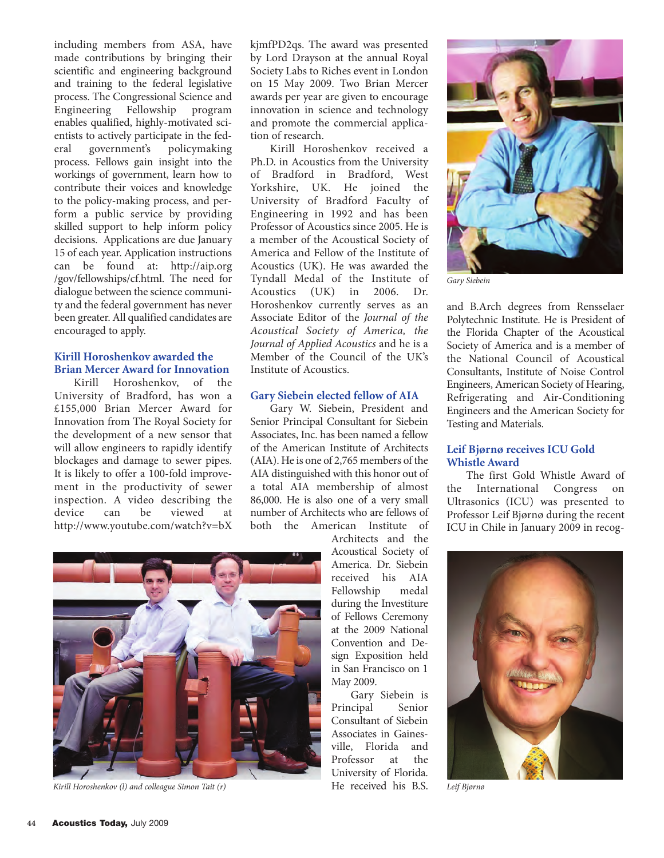including members from ASA, have made contributions by bringing their scientific and engineering background and training to the federal legislative process. The Congressional Science and Engineering Fellowship program enables qualified, highly-motivated scientists to actively participate in the fed-<br>eral government's policymaking eral government's process. Fellows gain insight into the workings of government, learn how to contribute their voices and knowledge to the policy-making process, and perform a public service by providing skilled support to help inform policy decisions. Applications are due January 15 of each year. Application instructions can be found at: http://aip.org /gov/fellowships/cf.html. The need for dialogue between the science community and the federal government has never been greater. All qualified candidates are encouraged to apply.

## **Kirill Horoshenkov awarded the Brian Mercer Award for Innovation**

Kirill Horoshenkov, of the University of Bradford, has won a £155,000 Brian Mercer Award for Innovation from The Royal Society for the development of a new sensor that will allow engineers to rapidly identify blockages and damage to sewer pipes. It is likely to offer a 100-fold improvement in the productivity of sewer inspection. A video describing the device can be viewed at http://www.youtube.com/watch?v=bX

kjmfPD2qs. The award was presented by Lord Drayson at the annual Royal Society Labs to Riches event in London on 15 May 2009. Two Brian Mercer awards per year are given to encourage innovation in science and technology and promote the commercial application of research.

Kirill Horoshenkov received a Ph.D. in Acoustics from the University of Bradford in Bradford, West Yorkshire, UK. He joined the University of Bradford Faculty of Engineering in 1992 and has been Professor of Acoustics since 2005. He is a member of the Acoustical Society of America and Fellow of the Institute of Acoustics (UK). He was awarded the Tyndall Medal of the Institute of Acoustics (UK) in 2006. Dr. Horoshenkov currently serves as an Associate Editor of the *Journal of the Acoustical Society of America, the Journal of Applied Acoustics* and he is a Member of the Council of the UK's Institute of Acoustics.

# **Gary Siebein elected fellow of AIA**

Gary W. Siebein, President and Senior Principal Consultant for Siebein Associates, Inc. has been named a fellow of the American Institute of Architects (AIA). He is one of 2,765 members of the AIA distinguished with this honor out of a total AIA membership of almost 86,000. He is also one of a very small number of Architects who are fellows of both the American Institute of

> Architects and the Acoustical Society of America. Dr. Siebein received his AIA<br>Fellowship medal Fellowship during the Investiture of Fellows Ceremony at the 2009 National Convention and Design Exposition held in San Francisco on 1 May 2009.

Gary Siebein is<br>
acipal Senior Principal Consultant of Siebein Associates in Gainesville, Florida and Professor at the University of Florida. He received his B.S.

*Gary Siebein* 

and B.Arch degrees from Rensselaer Polytechnic Institute. He is President of the Florida Chapter of the Acoustical Society of America and is a member of the National Council of Acoustical Consultants, Institute of Noise Control Engineers, American Society of Hearing, Refrigerating and Air-Conditioning Engineers and the American Society for Testing and Materials.

# **Leif Bjørnø receives ICU Gold Whistle Award**

The first Gold Whistle Award of the International Congress on Ultrasonics (ICU) was presented to Professor Leif Bjørnø during the recent ICU in Chile in January 2009 in recog-



*Leif Bjørnø*



*Kirill Horoshenkov (l) and colleague Simon Tait (r)*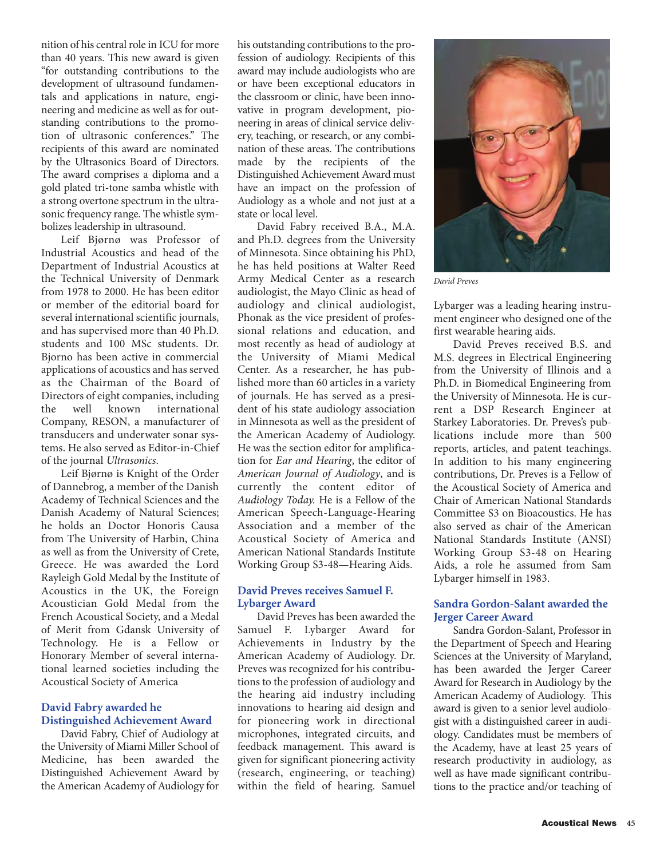nition of his central role in ICU for more than 40 years. This new award is given "for outstanding contributions to the development of ultrasound fundamentals and applications in nature, engineering and medicine as well as for outstanding contributions to the promotion of ultrasonic conferences." The recipients of this award are nominated by the Ultrasonics Board of Directors. The award comprises a diploma and a gold plated tri-tone samba whistle with a strong overtone spectrum in the ultrasonic frequency range. The whistle symbolizes leadership in ultrasound.

Leif Bjørnø was Professor of Industrial Acoustics and head of the Department of Industrial Acoustics at the Technical University of Denmark from 1978 to 2000. He has been editor or member of the editorial board for several international scientific journals, and has supervised more than 40 Ph.D. students and 100 MSc students. Dr. Bjorno has been active in commercial applications of acoustics and has served as the Chairman of the Board of Directors of eight companies, including the well known international Company, RESON, a manufacturer of transducers and underwater sonar systems. He also served as Editor-in-Chief of the journal *Ultrasonics*.

Leif Bjørnø is Knight of the Order of Dannebrog, a member of the Danish Academy of Technical Sciences and the Danish Academy of Natural Sciences; he holds an Doctor Honoris Causa from The University of Harbin, China as well as from the University of Crete, Greece. He was awarded the Lord Rayleigh Gold Medal by the Institute of Acoustics in the UK, the Foreign Acoustician Gold Medal from the French Acoustical Society, and a Medal of Merit from Gdansk University of Technology. He is a Fellow or Honorary Member of several international learned societies including the Acoustical Society of America

## **David Fabry awarded he Distinguished Achievement Award**

David Fabry, Chief of Audiology at the University of Miami Miller School of Medicine, has been awarded the Distinguished Achievement Award by the American Academy of Audiology for

his outstanding contributions to the profession of audiology. Recipients of this award may include audiologists who are or have been exceptional educators in the classroom or clinic, have been innovative in program development, pioneering in areas of clinical service delivery, teaching, or research, or any combination of these areas. The contributions made by the recipients of the Distinguished Achievement Award must have an impact on the profession of Audiology as a whole and not just at a state or local level.

David Fabry received B.A., M.A. and Ph.D. degrees from the University of Minnesota. Since obtaining his PhD, he has held positions at Walter Reed Army Medical Center as a research audiologist, the Mayo Clinic as head of audiology and clinical audiologist, Phonak as the vice president of professional relations and education, and most recently as head of audiology at the University of Miami Medical Center. As a researcher, he has published more than 60 articles in a variety of journals. He has served as a president of his state audiology association in Minnesota as well as the president of the American Academy of Audiology. He was the section editor for amplification for *Ear and Hearing*, the editor of *American Journal of Audiology*, and is currently the content editor of *Audiology Today.* He is a Fellow of the American Speech-Language-Hearing Association and a member of the Acoustical Society of America and American National Standards Institute Working Group S3-48—Hearing Aids.

# **David Preves receives Samuel F. Lybarger Award**

David Preves has been awarded the Samuel F. Lybarger Award for Achievements in Industry by the American Academy of Audiology. Dr. Preves was recognized for his contributions to the profession of audiology and the hearing aid industry including innovations to hearing aid design and for pioneering work in directional microphones, integrated circuits, and feedback management. This award is given for significant pioneering activity (research, engineering, or teaching) within the field of hearing. Samuel



*David Preves*

Lybarger was a leading hearing instrument engineer who designed one of the first wearable hearing aids.

David Preves received B.S. and M.S. degrees in Electrical Engineering from the University of Illinois and a Ph.D. in Biomedical Engineering from the University of Minnesota. He is current a DSP Research Engineer at Starkey Laboratories. Dr. Preves's publications include more than 500 reports, articles, and patent teachings. In addition to his many engineering contributions, Dr. Preves is a Fellow of the Acoustical Society of America and Chair of American National Standards Committee S3 on Bioacoustics. He has also served as chair of the American National Standards Institute (ANSI) Working Group S3-48 on Hearing Aids, a role he assumed from Sam Lybarger himself in 1983.

# **Sandra Gordon-Salant awarded the Jerger Career Award**

Sandra Gordon-Salant, Professor in the Department of Speech and Hearing Sciences at the University of Maryland, has been awarded the Jerger Career Award for Research in Audiology by the American Academy of Audiology. This award is given to a senior level audiologist with a distinguished career in audiology. Candidates must be members of the Academy, have at least 25 years of research productivity in audiology, as well as have made significant contributions to the practice and/or teaching of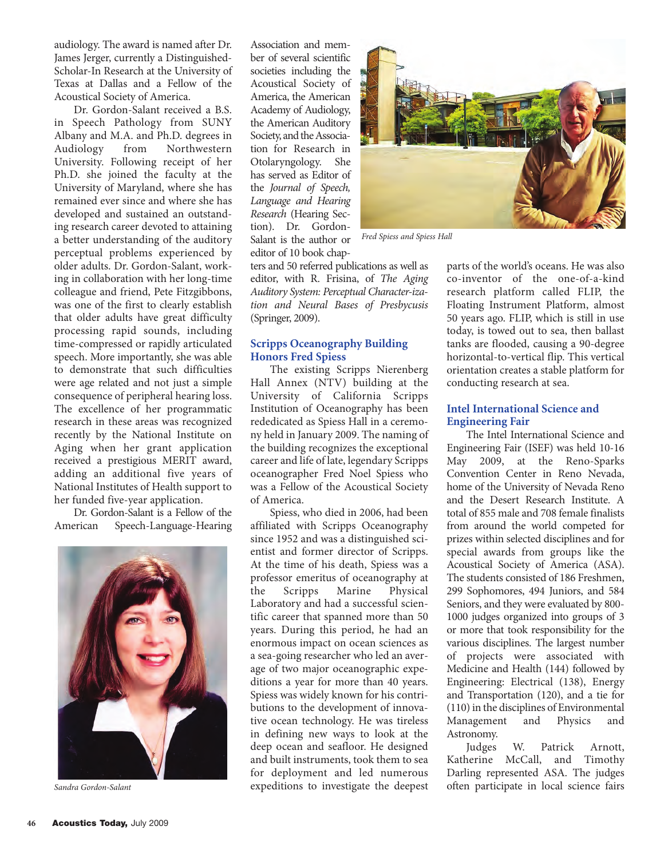audiology. The award is named after Dr. James Jerger, currently a Distinguished-Scholar-In Research at the University of Texas at Dallas and a Fellow of the Acoustical Society of America.

Dr. Gordon-Salant received a B.S. in Speech Pathology from SUNY Albany and M.A. and Ph.D. degrees in<br>Audiology from Northwestern Audiology from Northwestern University. Following receipt of her Ph.D. she joined the faculty at the University of Maryland, where she has remained ever since and where she has developed and sustained an outstanding research career devoted to attaining a better understanding of the auditory perceptual problems experienced by older adults. Dr. Gordon-Salant, working in collaboration with her long-time colleague and friend, Pete Fitzgibbons, was one of the first to clearly establish that older adults have great difficulty processing rapid sounds, including time-compressed or rapidly articulated speech. More importantly, she was able to demonstrate that such difficulties were age related and not just a simple consequence of peripheral hearing loss. The excellence of her programmatic research in these areas was recognized recently by the National Institute on Aging when her grant application received a prestigious MERIT award, adding an additional five years of National Institutes of Health support to her funded five-year application.

Dr. Gordon-Salant is a Fellow of the American Speech-Language-Hearing



Association and member of several scientific societies including the Acoustical Society of America, the American Academy of Audiology, the American Auditory Society, and the Association for Research in Otolaryngology. She has served as Editor of the *Journal of Speech, Language and Hearing Research* (Hearing Section). Dr. Gordon-Salant is the author or editor of 10 book chap-



*Fred Spiess and Spiess Hall*

ters and 50 referred publications as well as editor, with R. Frisina, of *The Aging Auditory System: Perceptual Character-ization and Neural Bases of Presbycusis* (Springer, 2009).

## **Scripps Oceanography Building Honors Fred Spiess**

The existing Scripps Nierenberg Hall Annex (NTV) building at the University of California Scripps Institution of Oceanography has been rededicated as Spiess Hall in a ceremony held in January 2009. The naming of the building recognizes the exceptional career and life of late, legendary Scripps oceanographer Fred Noel Spiess who was a Fellow of the Acoustical Society of America.

Spiess, who died in 2006, had been affiliated with Scripps Oceanography since 1952 and was a distinguished scientist and former director of Scripps. At the time of his death, Spiess was a professor emeritus of oceanography at the Scripps Marine Physical Laboratory and had a successful scientific career that spanned more than 50 years. During this period, he had an enormous impact on ocean sciences as a sea-going researcher who led an average of two major oceanographic expeditions a year for more than 40 years. Spiess was widely known for his contributions to the development of innovative ocean technology. He was tireless in defining new ways to look at the deep ocean and seafloor. He designed and built instruments, took them to sea for deployment and led numerous *Sandra Gordon-Salant* expeditions to investigate the deepest parts of the world's oceans. He was also co-inventor of the one-of-a-kind research platform called FLIP, the Floating Instrument Platform, almost 50 years ago. FLIP, which is still in use today, is towed out to sea, then ballast tanks are flooded, causing a 90-degree horizontal-to-vertical flip. This vertical orientation creates a stable platform for conducting research at sea.

# **Intel International Science and Engineering Fair**

The Intel International Science and Engineering Fair (ISEF) was held 10-16 May 2009, at the Reno-Sparks Convention Center in Reno Nevada, home of the University of Nevada Reno and the Desert Research Institute. A total of 855 male and 708 female finalists from around the world competed for prizes within selected disciplines and for special awards from groups like the Acoustical Society of America (ASA). The students consisted of 186 Freshmen, 299 Sophomores, 494 Juniors, and 584 Seniors, and they were evaluated by 800- 1000 judges organized into groups of 3 or more that took responsibility for the various disciplines. The largest number of projects were associated with Medicine and Health (144) followed by Engineering: Electrical (138), Energy and Transportation (120), and a tie for (110) in the disciplines of Environmental Management and Physics and Astronomy.

Judges W. Patrick Arnott, Katherine McCall, and Timothy Darling represented ASA. The judges often participate in local science fairs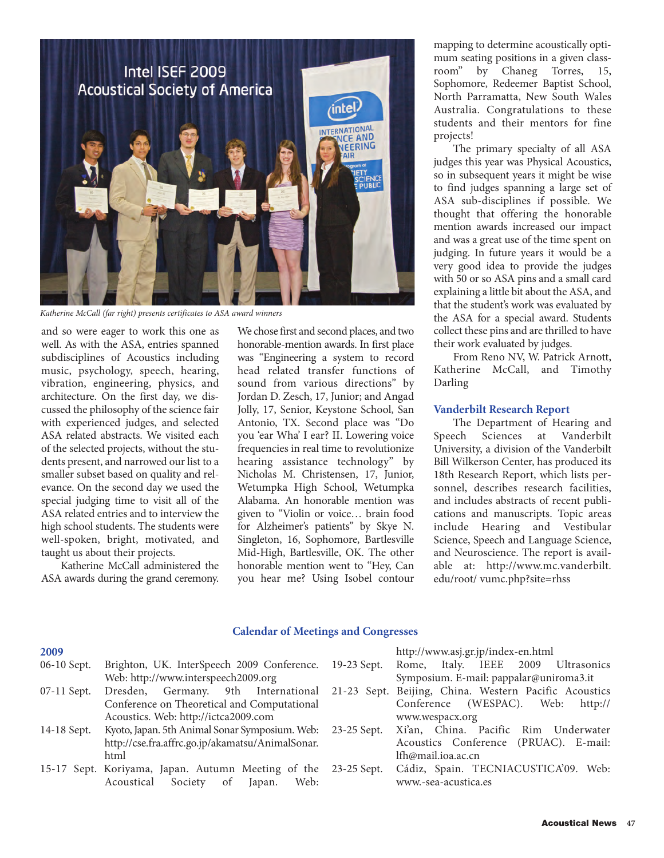

*Katherine McCall (far right) presents certificates to ASA award winners*

and so were eager to work this one as well. As with the ASA, entries spanned subdisciplines of Acoustics including music, psychology, speech, hearing, vibration, engineering, physics, and architecture. On the first day, we discussed the philosophy of the science fair with experienced judges, and selected ASA related abstracts. We visited each of the selected projects, without the students present, and narrowed our list to a smaller subset based on quality and relevance. On the second day we used the special judging time to visit all of the ASA related entries and to interview the high school students. The students were well-spoken, bright, motivated, and taught us about their projects.

Katherine McCall administered the ASA awards during the grand ceremony.

We chose first and second places, and two honorable-mention awards. In first place was "Engineering a system to record head related transfer functions of sound from various directions" by Jordan D. Zesch, 17, Junior; and Angad Jolly, 17, Senior, Keystone School, San Antonio, TX. Second place was "Do you 'ear Wha' I ear? II. Lowering voice frequencies in real time to revolutionize hearing assistance technology" by Nicholas M. Christensen, 17, Junior, Wetumpka High School, Wetumpka Alabama. An honorable mention was given to "Violin or voice… brain food for Alzheimer's patients" by Skye N. Singleton, 16, Sophomore, Bartlesville Mid-High, Bartlesville, OK. The other honorable mention went to "Hey, Can you hear me? Using Isobel contour mapping to determine acoustically optimum seating positions in a given class-<br>room" by Chaneg Torres, 15, room" by Chaneg Sophomore, Redeemer Baptist School, North Parramatta, New South Wales Australia. Congratulations to these students and their mentors for fine projects!

The primary specialty of all ASA judges this year was Physical Acoustics, so in subsequent years it might be wise to find judges spanning a large set of ASA sub-disciplines if possible. We thought that offering the honorable mention awards increased our impact and was a great use of the time spent on judging. In future years it would be a very good idea to provide the judges with 50 or so ASA pins and a small card explaining a little bit about the ASA, and that the student's work was evaluated by the ASA for a special award. Students collect these pins and are thrilled to have their work evaluated by judges.

From Reno NV, W. Patrick Arnott, Katherine McCall, and Timothy Darling

#### **Vanderbilt Research Report**

The Department of Hearing and Speech Sciences at Vanderbilt University, a division of the Vanderbilt Bill Wilkerson Center, has produced its 18th Research Report, which lists personnel, describes research facilities, and includes abstracts of recent publications and manuscripts. Topic areas include Hearing and Vestibular Science, Speech and Language Science, and Neuroscience. The report is available at: http://www.mc.vanderbilt. edu/root/ vumc.php?site=rhss

## **Calendar of Meetings and Congresses**

| 2009          |                                                                                           | http://www.asj.gr.jp/index-en.html               |
|---------------|-------------------------------------------------------------------------------------------|--------------------------------------------------|
| 06-10 Sept.   | Brighton, UK. InterSpeech 2009 Conference.                                                | 19-23 Sept. Rome, Italy. IEEE 2009 Ultrasonics   |
|               | Web: http://www.interspeech2009.org                                                       | Symposium. E-mail: pappalar@uniroma3.it          |
| $07-11$ Sept. | Dresden, Germany. 9th International 21-23 Sept. Beijing, China. Western Pacific Acoustics |                                                  |
|               | Conference on Theoretical and Computational                                               | Conference (WESPAC). Web: http://                |
|               | Acoustics. Web: http://ictca2009.com                                                      | www.wespacx.org                                  |
| 14-18 Sept.   | Kyoto, Japan. 5th Animal Sonar Symposium. Web:                                            | 23-25 Sept. Xi'an, China. Pacific Rim Underwater |
|               | http://cse.fra.affrc.go.jp/akamatsu/AnimalSonar.                                          | Acoustics Conference (PRUAC). E-mail:            |
|               | html                                                                                      | lfh@mail.ioa.ac.cn                               |
|               | 15-17 Sept. Koriyama, Japan. Autumn Meeting of the 23-25 Sept.                            | Cádiz, Spain. TECNIACUSTICA'09. Web:             |
|               | Acoustical Society of Japan. Web:                                                         | www.-sea-acustica.es                             |